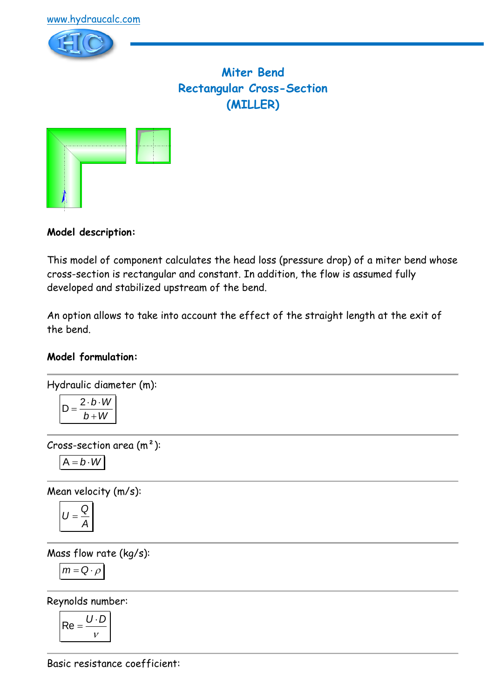

# **Miter Bend Rectangular Cross-Section (MILLER)**



### **Model description:**

This model of component calculates the head loss (pressure drop) of a miter bend whose cross-section is rectangular and constant. In addition, the flow is assumed fully developed and stabilized upstream of the bend.

An option allows to take into account the effect of the straight length at the exit of the bend.

### **Model formulation:**

Hydraulic diameter (m):

$$
D = \frac{2 \cdot b \cdot W}{b + W}
$$

Cross-section area  $(m<sup>2</sup>)$ :

$$
A=b\cdot W
$$

Mean velocity (m/s):

$$
U=\frac{Q}{A}
$$

Mass flow rate (kg/s):

$$
m = Q \cdot \rho
$$

Reynolds number:

$$
\mathsf{Re} = \frac{U \cdot D}{V}
$$

Basic resistance coefficient: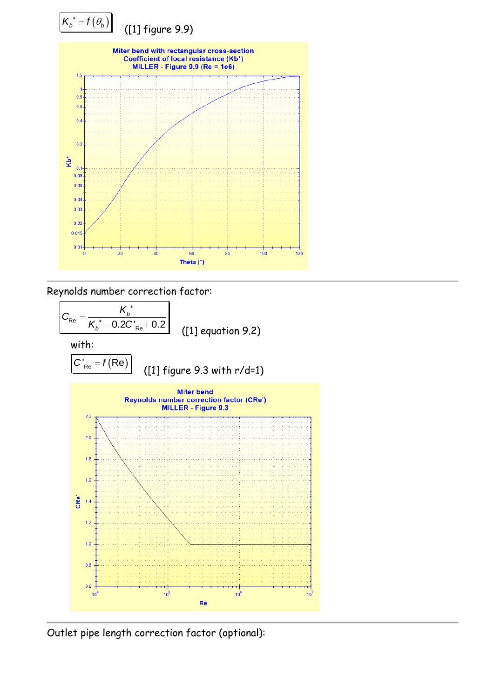

Reynolds number correction factor:



Outlet pipe length correction factor (optional):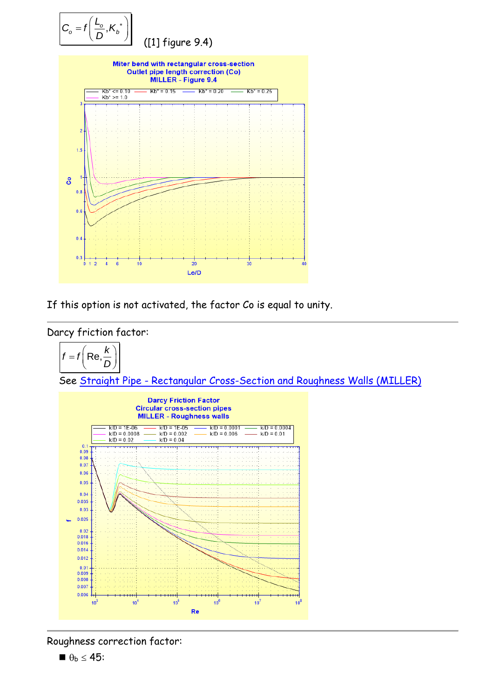

If this option is not activated, the factor Co is equal to unity.



$$
f = f\left(\text{Re}, \frac{k}{D}\right)
$$

See Straight Pipe - [Rectangular Cross-Section and Roughness Walls \(MILLER\)](../../Tuyau%20rectiligne/Tuyau%20rectiligne%20-%20Section%20rectangulaire/MILLER%20(roughness%20walls).htm)



Roughness correction factor:

 $\blacksquare \theta_{b} \leq 45$ :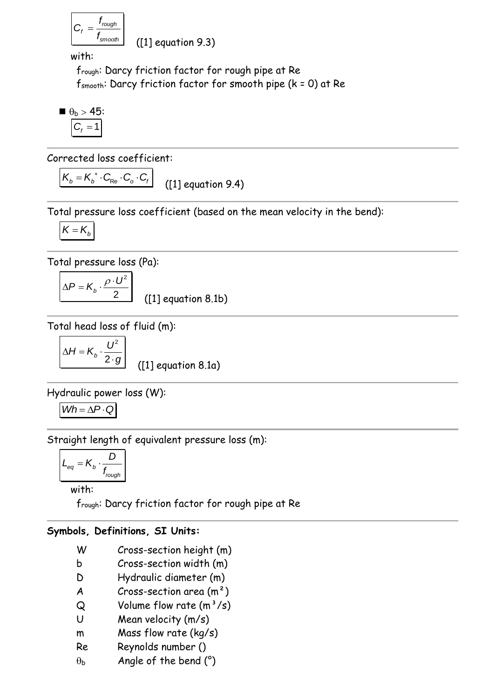$$
C_f = \frac{f_{rough}}{f_{smooth}}
$$

([1] equation 9.3)

with:

frough: Darcy friction factor for rough pipe at Re fsmooth: Darcy friction factor for smooth pipe (k = 0) at Re

$$
\bullet_b > 45:
$$

$$
C_f = 1
$$

Corrected loss coefficient:

 $K_b = K_b^* \cdot C_{Re} \cdot C_o \cdot C_f$ ([1] equation 9.4)

Total pressure loss coefficient (based on the mean velocity in the bend):

$$
K=K_{b}
$$

Total pressure loss (Pa):

$$
\Delta P = K_b \cdot \frac{\rho \cdot U^2}{2}
$$
 ([1] equation 8.1b)

Total head loss of fluid (m):

$$
\Delta H = K_b \cdot \frac{U^2}{2 \cdot g}
$$

([1] equation 8.1a)

Hydraulic power loss (W):

$$
Wh = \Delta P \cdot Q
$$

Straight length of equivalent pressure loss (m):

$$
L_{eq} = K_b \cdot \frac{D}{f_{rough}}
$$

with:

frough: Darcy friction factor for rough pipe at Re

## **Symbols, Definitions, SI Units:**

- W Cross-section height (m)
- b Cross-section width (m)
- D Hydraulic diameter (m)
- $A$  Cross-section area  $(m<sup>2</sup>)$
- $Q$  Volume flow rate  $(m^3/s)$
- U Mean velocity (m/s)
- m Mass flow rate (kg/s)
- Re Reynolds number ()
- $\theta_{\rm b}$  Angle of the bend (°)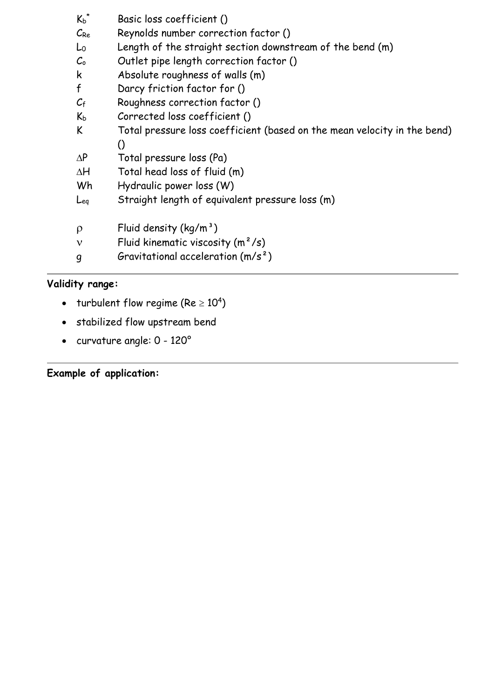| $K_b$ <sup>*</sup>         | Basic loss coefficient ()                                                |
|----------------------------|--------------------------------------------------------------------------|
| $C_{Re}$                   | Reynolds number correction factor ()                                     |
| Lo                         | Length of the straight section downstream of the bend (m)                |
| $\mathcal{C}_{\mathsf{o}}$ | Outlet pipe length correction factor ()                                  |
| k                          | Absolute roughness of walls (m)                                          |
| $\mathsf f$                | Darcy friction factor for ()                                             |
| $C_{\mathsf{f}}$           | Roughness correction factor ()                                           |
| $K_b$                      | Corrected loss coefficient ()                                            |
| K                          | Total pressure loss coefficient (based on the mean velocity in the bend) |
|                            | $\Omega$                                                                 |
| $\Delta P$                 | Total pressure loss (Pa)                                                 |
| $\Delta H$                 | Total head loss of fluid (m)                                             |
| Wh                         | Hydraulic power loss (W)                                                 |
| Leg                        | Straight length of equivalent pressure loss (m)                          |
| $\rho$                     | Fluid density $(kq/m^3)$                                                 |
| ν                          | Fluid kinematic viscosity $(m^2/s)$                                      |
| g                          | Gravitational acceleration $(m/s^2)$                                     |

## **Validity range:**

- turbulent flow regime (Re  $\geq 10^4$ )
- stabilized flow upstream bend
- curvature angle: 0 120°

**Example of application:**